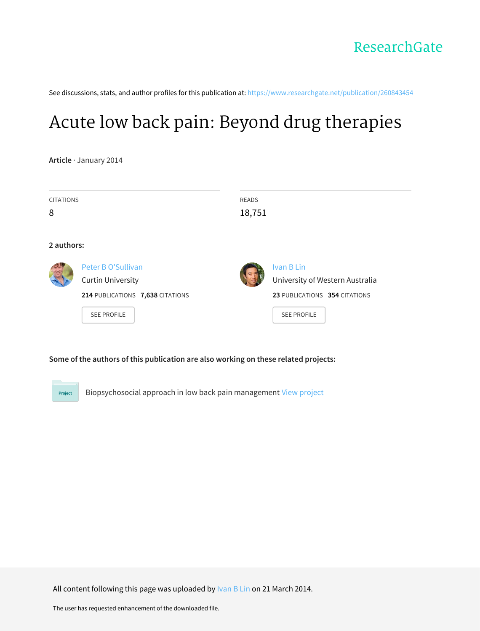See discussions, stats, and author profiles for this publication at: [https://www.researchgate.net/publication/260843454](https://www.researchgate.net/publication/260843454_Acute_low_back_pain_Beyond_drug_therapies?enrichId=rgreq-92f5381763b3506cad35d32899f36045-XXX&enrichSource=Y292ZXJQYWdlOzI2MDg0MzQ1NDtBUzoxMDE5MzQ5NTQ0NTA5NDVAMTQwMTMxNDU5NTIyMQ%3D%3D&el=1_x_2&_esc=publicationCoverPdf)

### Acute low back pain: Beyond drug [therapies](https://www.researchgate.net/publication/260843454_Acute_low_back_pain_Beyond_drug_therapies?enrichId=rgreq-92f5381763b3506cad35d32899f36045-XXX&enrichSource=Y292ZXJQYWdlOzI2MDg0MzQ1NDtBUzoxMDE5MzQ5NTQ0NTA5NDVAMTQwMTMxNDU5NTIyMQ%3D%3D&el=1_x_3&_esc=publicationCoverPdf)

**Article** · January 2014

| <b>CITATIONS</b><br>8 |                                                                                                          | <b>READS</b><br>18,751 |                                                                                                      |
|-----------------------|----------------------------------------------------------------------------------------------------------|------------------------|------------------------------------------------------------------------------------------------------|
| 2 authors:            |                                                                                                          |                        |                                                                                                      |
|                       | Peter B O'Sullivan<br><b>Curtin University</b><br>214 PUBLICATIONS 7,638 CITATIONS<br><b>SEE PROFILE</b> |                        | Ivan B Lin<br>University of Western Australia<br>23 PUBLICATIONS 354 CITATIONS<br><b>SEE PROFILE</b> |

#### **Some of the authors of this publication are also working on these related projects:**

Project

Biopsychosocial approach in low back pain management View [project](https://www.researchgate.net/project/Biopsychosocial-approach-in-low-back-pain-management?enrichId=rgreq-92f5381763b3506cad35d32899f36045-XXX&enrichSource=Y292ZXJQYWdlOzI2MDg0MzQ1NDtBUzoxMDE5MzQ5NTQ0NTA5NDVAMTQwMTMxNDU5NTIyMQ%3D%3D&el=1_x_9&_esc=publicationCoverPdf)

All content following this page was uploaded by [Ivan](https://www.researchgate.net/profile/Ivan_Lin?enrichId=rgreq-92f5381763b3506cad35d32899f36045-XXX&enrichSource=Y292ZXJQYWdlOzI2MDg0MzQ1NDtBUzoxMDE5MzQ5NTQ0NTA5NDVAMTQwMTMxNDU5NTIyMQ%3D%3D&el=1_x_10&_esc=publicationCoverPdf) B Lin on 21 March 2014.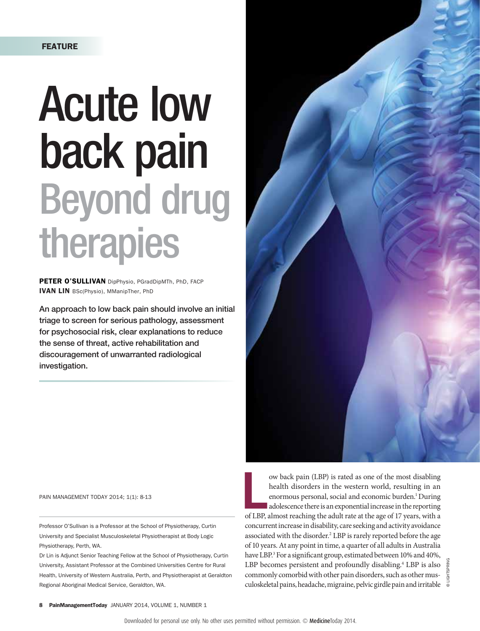# Acute low back pain Beyond drug therapies

PETER O'SULLIVAN DipPhysio, PGradDipMTh, PhD, FACP IVAN LIN BSc(Physio), MManipTher, PhD

An approach to low back pain should involve an initial triage to screen for serious pathology, assessment for psychosocial risk, clear explanations to reduce the sense of threat, active rehabilitation and discouragement of unwarranted radiological investigation.

PAIN MANAGEMENT TODAY 2014; 1(1): 8-13

Professor O'Sullivan is a Professor at the School of Physiotherapy, Curtin University and Specialist Musculoskeletal Physiotherapist at Body Logic Physiotherapy, Perth, WA.

Dr Lin is Adjunct Senior Teaching Fellow at the School of Physiotherapy, Curtin University, Assistant Professor at the Combined Universities Centre for Rural Health, University of Western Australia, Perth, and Physiotherapist at Geraldton Regional Aboriginal Medical Service, Geraldton, WA.



ow back pain (LBP) is rated as one of the most disabling<br>health disorders in the western world, resulting in an<br>enormous personal, social and economic burden.<sup>1</sup> During<br>adolescence there is an exponential increase in the r ow back pain (LBP) is rated as one of the most disabling health disorders in the western world, resulting in an enormous personal, social and economic burden.<sup>1</sup> During adolescence there is an exponential increase in the reporting concurrent increase in disability, care seeking and activity avoidance associated with the disorder.<sup>2</sup> LBP is rarely reported before the age of 10 years. At any point in time, a quarter of all adults in Australia have LBP.3 For a significant group, estimated between 10% and 40%, LBP becomes persistent and profoundly disabling.<sup>4</sup> LBP is also commonly comorbid with other pain disorders, such as other musculoskeletal pains, headache, migraine, pelvic girdle pain and irritable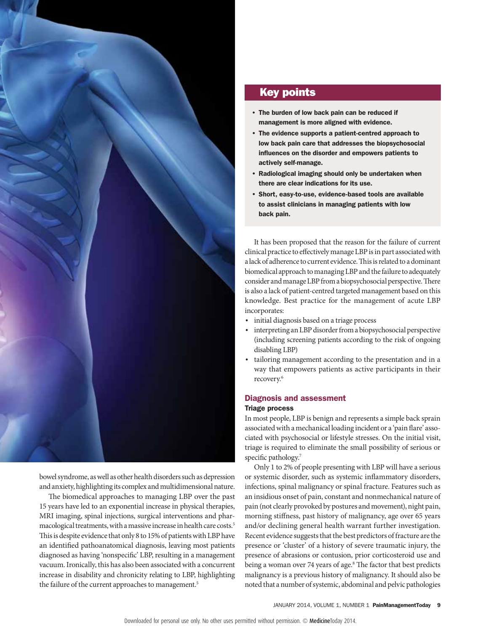

bowel syndrome, as well as other health disorders such as depression and anxiety, highlighting its complex and multidimensional nature.

The biomedical approaches to managing LBP over the past 15 years have led to an exponential increase in physical therapies, MRI imaging, spinal injections, surgical interventions and pharmacological treatments, with a massive increase in health care costs.5 This is despite evidence that only 8 to 15% of patients with LBP have an identified pathoanatomical diagnosis, leaving most patients diagnosed as having 'nonspecific' LBP, resulting in a management vacuum. Ironically, this has also been associated with a concurrent increase in disability and chronicity relating to LBP, highlighting the failure of the current approaches to management.<sup>5</sup>

### Key points

- The burden of low back pain can be reduced if management is more aligned with evidence.
- The evidence supports a patient-centred approach to low back pain care that addresses the biopsychosocial influences on the disorder and empowers patients to actively self-manage.
- Radiological imaging should only be undertaken when there are clear indications for its use.
- Short, easy-to-use, evidence-based tools are available to assist clinicians in managing patients with low back pain.

It has been proposed that the reason for the failure of current clinical practice to effectively manage LBP is in part associated with a lack of adherence to current evidence. This is related to a dominant biomedical approach to managing LBP and the failure to adequately consider and manage LBP from a biopsychosocial perspective. There is also a lack of patient-centred targeted management based on this knowledge. Best practice for the management of acute LBP incorporates:

- initial diagnosis based on a triage process
- interpreting an LBP disorder from a biopsychosocial perspective (including screening patients according to the risk of ongoing disabling LBP)
- tailoring management according to the presentation and in a way that empowers patients as active participants in their recovery.6

#### Diagnosis and assessment

#### Triage process

In most people, LBP is benign and represents a simple back sprain associated with a mechanical loading incident or a 'pain flare' associated with psychosocial or lifestyle stresses. On the initial visit, triage is required to eliminate the small possibility of serious or specific pathology.<sup>7</sup>

Only 1 to 2% of people presenting with LBP will have a serious or systemic disorder, such as systemic inflammatory disorders, infections, spinal malignancy or spinal fracture. Features such as an insidious onset of pain, constant and nonmechanical nature of pain (not clearly provoked by postures and movement), night pain, morning stiffness, past history of malignancy, age over 65 years and/or declining general health warrant further investigation. Recent evidence suggests that the best predictors of fracture are the presence or 'cluster' of a history of severe traumatic injury, the presence of abrasions or contusion, prior corticosteroid use and being a woman over 74 years of age.<sup>8</sup> The factor that best predicts malignancy is a previous history of malignancy. It should also be noted that a number of systemic, abdominal and pelvic pathologies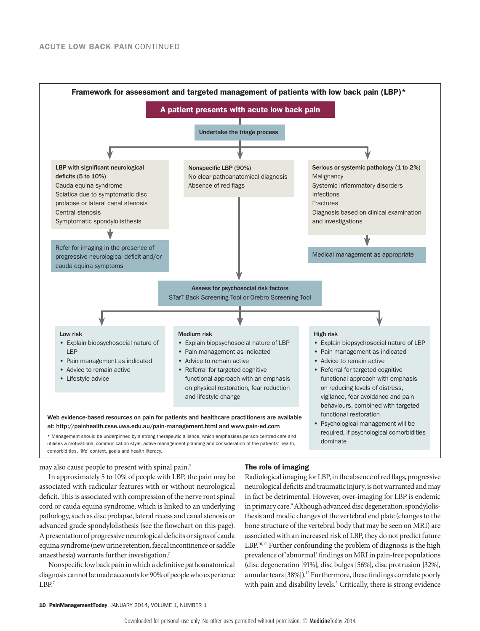

may also cause people to present with spinal pain.7

#### The role of imaging

In approximately 5 to 10% of people with LBP, the pain may be associated with radicular features with or without neurological deficit. This is associated with compression of the nerve root spinal cord or cauda equina syndrome, which is linked to an underlying pathology, such as disc prolapse, lateral recess and canal stenosis or advanced grade spondylolisthesis (see the flowchart on this page). A presentation of progressive neurological deficits or signs of cauda equina syndrome (new urine retention, faecal incontinence or saddle anaesthesia) warrants further investigation.7

Nonspecific low back pain in which a definitive pathoanatomical diagnosis cannot be made accounts for 90% of people who experience LBP.7

Radiological imaging for LBP, in the absence of red flags, progressive neurological deficits and traumatic injury, is not warranted and may in fact be detrimental. However, over-imaging for LBP is endemic in primary care.<sup>9</sup> Although advanced disc degeneration, spondylolisthesis and modic changes of the vertebral end plate (changes to the bone structure of the vertebral body that may be seen on MRI) are associated with an increased risk of LBP, they do not predict future LBP.<sup>10,11</sup> Further confounding the problem of diagnosis is the high prevalence of 'abnormal' findings on MRI in pain-free populations (disc degeneration [91%], disc bulges [56%], disc protrusion [32%], annular tears [38%]).<sup>12</sup> Furthermore, these findings correlate poorly with pain and disability levels.<sup>5</sup> Critically, there is strong evidence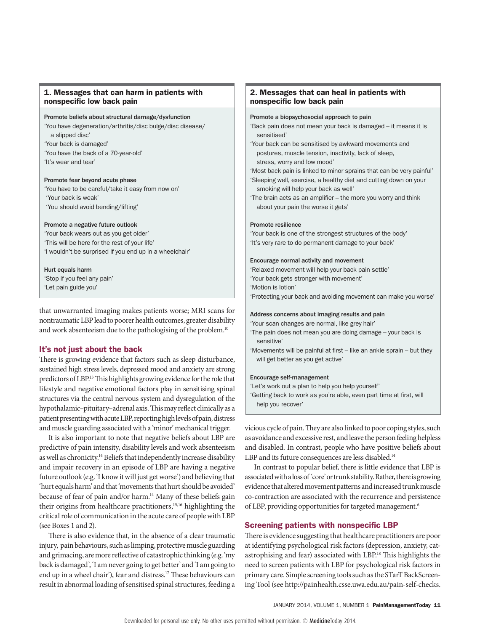#### 1. Messages that can harm in patients with nonspecific low back pain

#### Promote beliefs about structural damage/dysfunction

'You have degeneration/arthritis/disc bulge/disc disease/ a slipped disc'

'Your back is damaged'

- 'You have the back of a 70-year-old'
- 'It's wear and tear'

#### Promote fear beyond acute phase

'You have to be careful/take it easy from now on' 'Your back is weak' 'You should avoid bending/lifting'

#### Promote a negative future outlook

'Your back wears out as you get older' 'This will be here for the rest of your life' 'I wouldn't be surprised if you end up in a wheelchair'

#### Hurt equals harm

'Stop if you feel any pain' 'Let pain guide you'

that unwarranted imaging makes patients worse; MRI scans for nontraumatic LBP lead to poorer health outcomes, greater disability and work absenteeism due to the pathologising of the problem.<sup>10</sup>

#### It's not just about the back

There is growing evidence that factors such as sleep disturbance, sustained high stress levels, depressed mood and anxiety are strong predictors of LBP.13 This highlights growing evidence for the role that lifestyle and negative emotional factors play in sensitising spinal structures via the central nervous system and dysregulation of the hypothalamic–pituitary–adrenal axis. This may reflect clinically as a patient presenting with acute LBP, reporting high levels of pain, distress and muscle guarding associated with a 'minor' mechanical trigger.

It is also important to note that negative beliefs about LBP are predictive of pain intensity, disability levels and work absenteeism as well as chronicity.14 Beliefs that independently increase disability and impair recovery in an episode of LBP are having a negative future outlook (e.g. 'I know it will just get worse') and believing that 'hurt equals harm' and that 'movements that hurt should be avoided' because of fear of pain and/or harm.<sup>14</sup> Many of these beliefs gain their origins from healthcare practitioners,15,16 highlighting the critical role of communication in the acute care of people with LBP (see Boxes 1 and 2).

There is also evidence that, in the absence of a clear traumatic injury, pain behaviours, such as limping, protective muscle guarding and grimacing, are more reflective of catastrophic thinking (e.g. 'my back is damaged', 'I am never going to get better' and 'I am going to end up in a wheel chair'), fear and distress.<sup>17</sup> These behaviours can result in abnormal loading of sensitised spinal structures, feeding a

#### 2. Messages that can heal in patients with nonspecific low back pain

#### Promote a biopsychosocial approach to pain

'Back pain does not mean your back is damaged – it means it is sensitised'

'Your back can be sensitised by awkward movements and postures, muscle tension, inactivity, lack of sleep, stress, worry and low mood'

'Most back pain is linked to minor sprains that can be very painful' 'Sleeping well, exercise, a healthy diet and cutting down on your

smoking will help your back as well'

'The brain acts as an amplifier – the more you worry and think about your pain the worse it gets'

#### Promote resilience

'Your back is one of the strongest structures of the body' 'It's very rare to do permanent damage to your back'

#### Encourage normal activity and movement

'Relaxed movement will help your back pain settle' 'Your back gets stronger with movement' 'Motion is lotion' 'Protecting your back and avoiding movement can make you worse'

#### Address concerns about imaging results and pain

'Your scan changes are normal, like grey hair'

- 'The pain does not mean you are doing damage your back is sensitive'
- 'Movements will be painful at first like an ankle sprain but they will get better as you get active'

#### Encourage self-management

'Let's work out a plan to help you help yourself'

'Getting back to work as you're able, even part time at first, will help you recover'

vicious cycle of pain. They are also linked to poor coping styles, such as avoidance and excessive rest, and leave the person feeling helpless and disabled. In contrast, people who have positive beliefs about LBP and its future consequences are less disabled.<sup>14</sup>

In contrast to popular belief, there is little evidence that LBP is associated with a loss of 'core' or trunk stability. Rather, there is growing evidence that altered movement patterns and increased trunk muscle co-contraction are associated with the recurrence and persistence of LBP, providing opportunities for targeted management.<sup>6</sup>

#### Screening patients with nonspecific LBP

There is evidence suggesting that healthcare practitioners are poor at identifying psychological risk factors (depression, anxiety, catastrophising and fear) associated with LBP.18 This highlights the need to screen patients with LBP for psychological risk factors in primary care. Simple screening tools such as the STarT BackScreening Tool (see http://painhealth.csse.uwa.edu.au/pain-self-checks.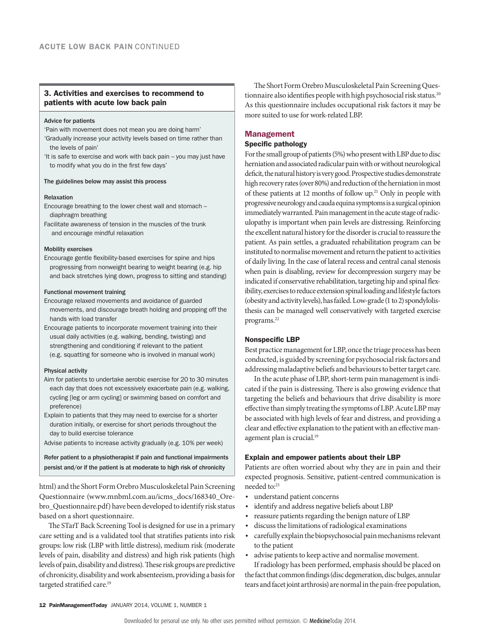#### 3. Activities and exercises to recommend to patients with acute low back pain

#### Advice for patients

'Pain with movement does not mean you are doing harm'

- 'Gradually increase your activity levels based on time rather than the levels of pain'
- 'It is safe to exercise and work with back pain you may just have to modify what you do in the first few days'

#### The guidelines below may assist this process

#### Relaxation

- Encourage breathing to the lower chest wall and stomach diaphragm breathing
- Facilitate awareness of tension in the muscles of the trunk and encourage mindful relaxation

#### Mobility exercises

Encourage gentle flexibility-based exercises for spine and hips progressing from nonweight bearing to weight bearing (e.g. hip and back stretches lying down, progress to sitting and standing)

#### Functional movement training

- Encourage relaxed movements and avoidance of guarded movements, and discourage breath holding and propping off the hands with load transfer
- Encourage patients to incorporate movement training into their usual daily activities (e.g. walking, bending, twisting) and strengthening and conditioning if relevant to the patient (e.g. squatting for someone who is involved in manual work)

#### Physical activity

- Aim for patients to undertake aerobic exercise for 20 to 30 minutes each day that does not excessively exacerbate pain (e.g. walking, cycling [leg or arm cycling] or swimming based on comfort and preference)
- Explain to patients that they may need to exercise for a shorter duration initially, or exercise for short periods throughout the day to build exercise tolerance
- Advise patients to increase activity gradually (e.g. 10% per week)

Refer patient to a physiotherapist if pain and functional impairments persist and/or if the patient is at moderate to high risk of chronicity

html) and the Short Form Orebro Musculoskeletal Pain Screening Questionnaire (www.mnbml.com.au/icms\_docs/168340\_Orebro\_Questionnaire.pdf) have been developed to identify risk status based on a short questionnaire.

The STarT Back Screening Tool is designed for use in a primary care setting and is a validated tool that stratifies patients into risk groups: low risk (LBP with little distress), medium risk (moderate levels of pain, disability and distress) and high risk patients (high levels of pain, disability and distress). These risk groups are predictive of chronicity, disability and work absenteeism, providing a basis for targeted stratified care.<sup>19</sup>

The Short Form Orebro Musculoskeletal Pain Screening Questionnaire also identifies people with high psychosocial risk status.<sup>20</sup> As this questionnaire includes occupational risk factors it may be more suited to use for work-related LBP.

#### Management

#### Specific pathology

For the small group of patients (5%) who present with LBP due to disc herniation and associated radicular pain with or without neurological deficit, the natural history is very good. Prospective studies demonstrate high recovery rates (over 80%) and reduction of the herniation in most of these patients at 12 months of follow up.21 Only in people with progressive neurology and cauda equina symptoms is a surgical opinion immediately warranted. Pain management in the acute stage of radiculopathy is important when pain levels are distressing. Reinforcing the excellent natural history for the disorder is crucial to reassure the patient. As pain settles, a graduated rehabilitation program can be instituted to normalise movement and return the patient to activities of daily living. In the case of lateral recess and central canal stenosis when pain is disabling, review for decompression surgery may be indicated if conservative rehabilitation, targeting hip and spinal flexibility, exercises to reduce extension spinal loading and lifestyle factors (obesity and activity levels), has failed. Low-grade (1 to 2) spondylolisthesis can be managed well conservatively with targeted exercise programs.22

#### Nonspecific LBP

Best practice management for LBP, once the triage process has been conducted, is guided by screening for psychosocial risk factors and addressing maladaptive beliefs and behaviours to better target care.

In the acute phase of LBP, short-term pain management is indicated if the pain is distressing. There is also growing evidence that targeting the beliefs and behaviours that drive disability is more effective than simply treating the symptoms of LBP. Acute LBP may be associated with high levels of fear and distress, and providing a clear and effective explanation to the patient with an effective management plan is crucial.<sup>19</sup>

#### Explain and empower patients about their LBP

Patients are often worried about why they are in pain and their expected prognosis. Sensitive, patient-centred communication is needed to:<sup>23</sup>

- understand patient concerns
- identify and address negative beliefs about LBP
- reassure patients regarding the benign nature of LBP
- discuss the limitations of radiological examinations
- carefully explain the biopsychosocial pain mechanisms relevant to the patient
- advise patients to keep active and normalise movement.

If radiology has been performed, emphasis should be placed on the fact that common findings (disc degeneration, disc bulges, annular tears and facet joint arthrosis) are normal in the pain-free population,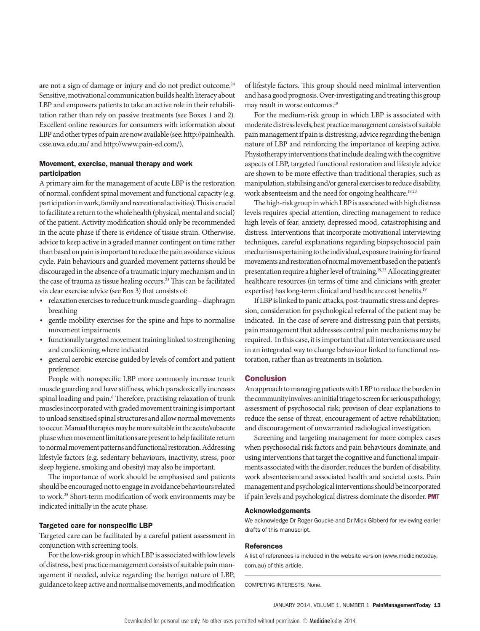are not a sign of damage or injury and do not predict outcome.<sup>24</sup> Sensitive, motivational communication builds health literacy about LBP and empowers patients to take an active role in their rehabilitation rather than rely on passive treatments (see Boxes 1 and 2). Excellent online resources for consumers with information about LBP and other types of pain are now available (see: [http://painhealth.](http://painhealth.csse.uwa.edu.au/) [csse.uwa.edu.au/](http://painhealth.csse.uwa.edu.au/) and [http://www.pain-ed.com/\)](http://www.pain-ed.com/).

#### Movement, exercise, manual therapy and work participation

A primary aim for the management of acute LBP is the restoration of normal, confident spinal movement and functional capacity (e.g. participation in work, family and recreational activities). This is crucial to facilitate a return to the whole health (physical, mental and social) of the patient. Activity modification should only be recommended in the acute phase if there is evidence of tissue strain. Otherwise, advice to keep active in a graded manner contingent on time rather than based on pain is important to reduce the pain avoidance vicious cycle. Pain behaviours and guarded movement patterns should be discouraged in the absence of a traumatic injury mechanism and in the case of trauma as tissue healing occurs.<sup>23</sup> This can be facilitated via clear exercise advice (see Box 3) that consists of:

- relaxation exercises to reduce trunk muscle guarding diaphragm breathing
- gentle mobility exercises for the spine and hips to normalise movement impairments
- functionally targeted movement training linked to strengthening and conditioning where indicated
- general aerobic exercise guided by levels of comfort and patient preference.

People with nonspecific LBP more commonly increase trunk muscle guarding and have stiffness, which paradoxically increases spinal loading and pain.<sup>6</sup> Therefore, practising relaxation of trunk muscles incorporated with graded movement training is important to unload sensitised spinal structures and allow normal movements to occur. Manual therapies may be more suitable in the acute/subacute phase when movement limitations are present to help facilitate return to normal movement patterns and functional restoration. Addressing lifestyle factors (e.g. sedentary behaviours, inactivity, stress, poor sleep hygiene, smoking and obesity) may also be important.

The importance of work should be emphasised and patients should be encouraged not to engage in avoidance behaviours related to work.25 Short-term modification of work environments may be indicated initially in the acute phase.

#### Targeted care for nonspecific LBP

Targeted care can be facilitated by a careful patient assessment in conjunction with screening tools.

For the low-risk group in which LBP is associated with low levels of distress, best practice management consists of suitable pain management if needed, advice regarding the benign nature of LBP, guidance to keep active and normalise movements, and modification

of lifestyle factors. This group should need minimal intervention and has a good prognosis. Over-investigating and treating this group may result in worse outcomes.19

For the medium-risk group in which LBP is associated with moderate distress levels, best practice management consists of suitable pain management if pain is distressing, advice regarding the benign nature of LBP and reinforcing the importance of keeping active. Physiotherapy interventions that include dealing with the cognitive aspects of LBP, targeted functional restoration and lifestyle advice are shown to be more effective than traditional therapies, such as manipulation, stabilising and/or general exercises to reduce disability, work absenteeism and the need for ongoing healthcare.<sup>19,23</sup>

The high-risk group in which LBP is associated with high distress levels requires special attention, directing management to reduce high levels of fear, anxiety, depressed mood, catastrophising and distress. Interventions that incorporate motivational interviewing techniques, careful explanations regarding biopsychosocial pain mechanisms pertaining to the individual, exposure training for feared movements and restoration of normal movement based on the patient's presentation require a higher level of training.19,23 Allocating greater healthcare resources (in terms of time and clinicians with greater expertise) has long-term clinical and healthcare cost benefits.<sup>19</sup>

If LBP is linked to panic attacks, post-traumatic stress and depression, consideration for psychological referral of the patient may be indicated. In the case of severe and distressing pain that persists, pain management that addresses central pain mechanisms may be required. In this case, it is important that all interventions are used in an integrated way to change behaviour linked to functional restoration, rather than as treatments in isolation.

#### **Conclusion**

An approach to managing patients with LBP to reduce the burden in the community involves: an initial triage to screen for serious pathology; assessment of psychosocial risk; provison of clear explanations to reduce the sense of threat; encouragement of active rehabilitation; and discouragement of unwarranted radiological investigation.

Screening and targeting management for more complex cases when psychosocial risk factors and pain behaviours dominate, and using interventions that target the cognitive and functional impairments associated with the disorder, reduces the burden of disability, work absenteeism and associated health and societal costs. Pain management and psychological interventions should be incorporated if pain levels and psychological distress dominate the disorder. PMT

#### Acknowledgements

We acknowledge Dr Roger Goucke and Dr Mick Gibberd for reviewing earlier drafts of this manuscript.

#### References

A list of references is included in the website version (www.medicinetoday. com.au) of this article.

COMPETING INTERESTS: None.